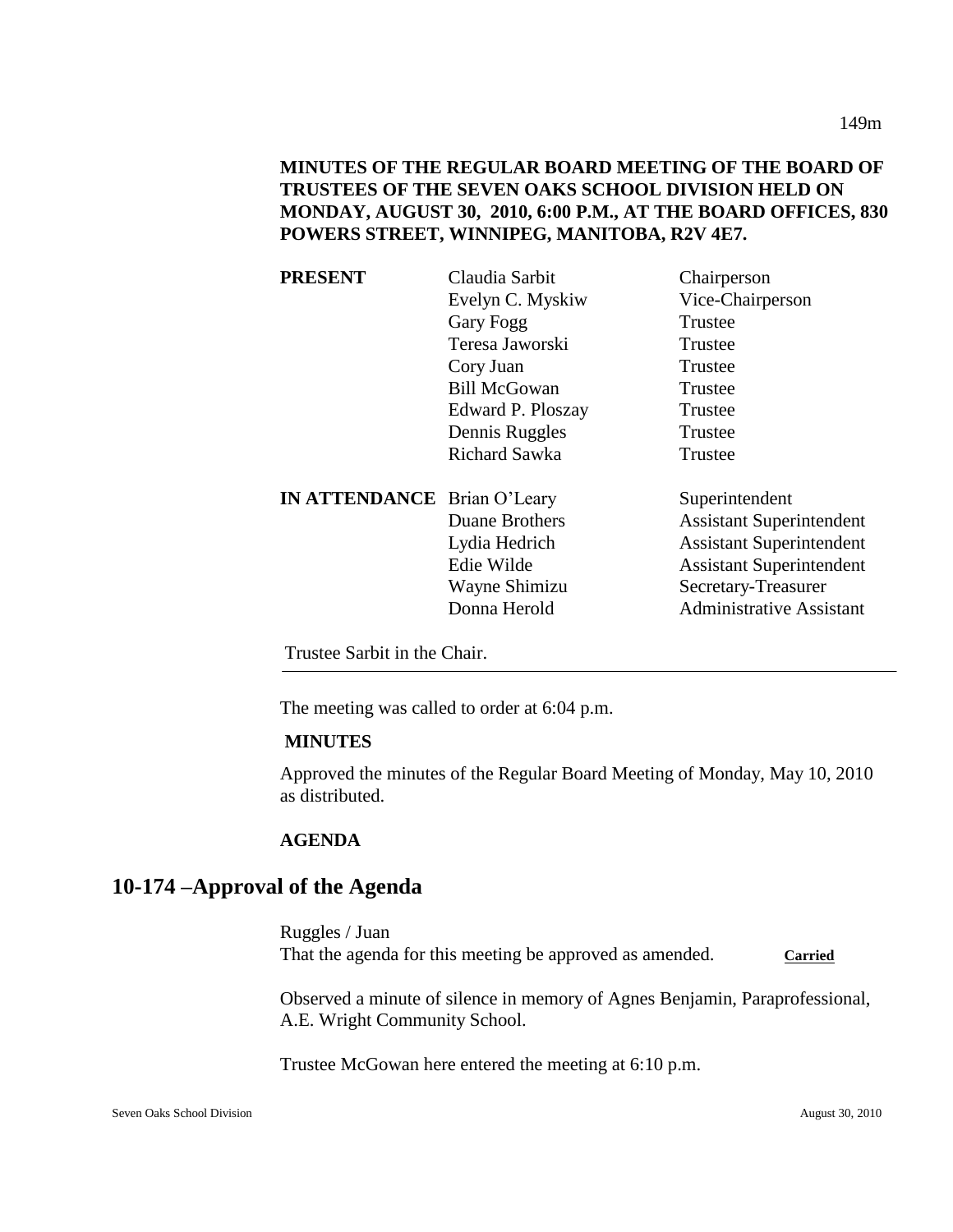## **MINUTES OF THE REGULAR BOARD MEETING OF THE BOARD OF TRUSTEES OF THE SEVEN OAKS SCHOOL DIVISION HELD ON MONDAY, AUGUST 30, 2010, 6:00 P.M., AT THE BOARD OFFICES, 830 POWERS STREET, WINNIPEG, MANITOBA, R2V 4E7.**

| <b>PRESENT</b>                     | Claudia Sarbit      | Chairperson                     |
|------------------------------------|---------------------|---------------------------------|
|                                    | Evelyn C. Myskiw    | Vice-Chairperson                |
|                                    | <b>Gary Fogg</b>    | Trustee                         |
|                                    | Teresa Jaworski     | Trustee                         |
|                                    | Cory Juan           | Trustee                         |
|                                    | <b>Bill McGowan</b> | Trustee                         |
|                                    | Edward P. Ploszay   | Trustee                         |
|                                    | Dennis Ruggles      | Trustee                         |
|                                    | Richard Sawka       | Trustee                         |
| <b>IN ATTENDANCE</b> Brian O'Leary |                     | Superintendent                  |
|                                    | Duane Brothers      | <b>Assistant Superintendent</b> |
|                                    | Lydia Hedrich       | <b>Assistant Superintendent</b> |
|                                    | Edie Wilde          | <b>Assistant Superintendent</b> |
|                                    | Wayne Shimizu       | Secretary-Treasurer             |
|                                    | Donna Herold        | <b>Administrative Assistant</b> |
|                                    |                     |                                 |

Trustee Sarbit in the Chair.

The meeting was called to order at 6:04 p.m.

#### **MINUTES**

Approved the minutes of the Regular Board Meeting of Monday, May 10, 2010 as distributed.

## **AGENDA**

# **10-174 –Approval of the Agenda**

Ruggles / Juan That the agenda for this meeting be approved as amended. Carried

Observed a minute of silence in memory of Agnes Benjamin, Paraprofessional, A.E. Wright Community School.

Trustee McGowan here entered the meeting at 6:10 p.m.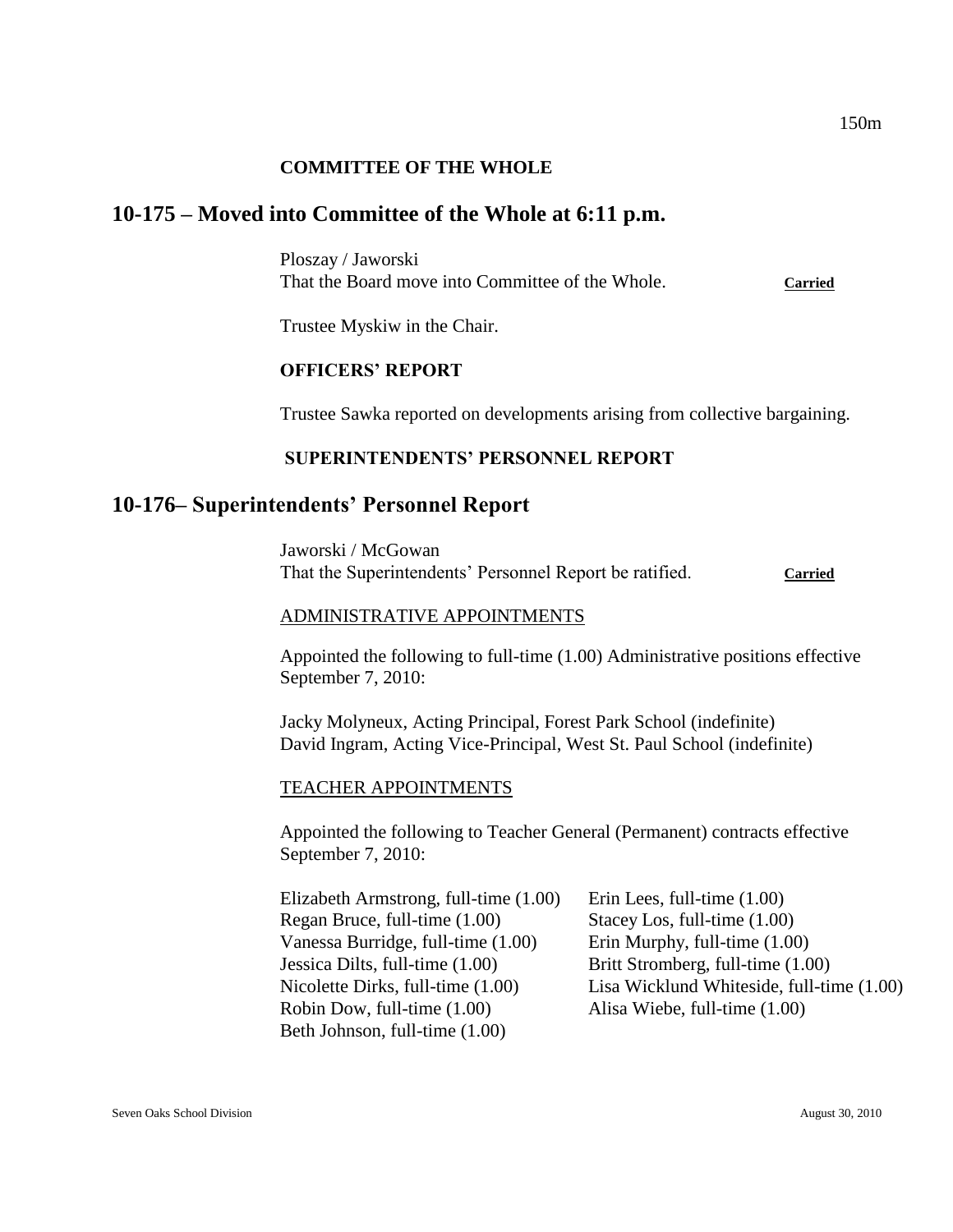## **COMMITTEE OF THE WHOLE**

## **10-175 – Moved into Committee of the Whole at 6:11 p.m.**

Ploszay / Jaworski That the Board move into Committee of the Whole. **Carried**

Trustee Myskiw in the Chair.

## **OFFICERS' REPORT**

Trustee Sawka reported on developments arising from collective bargaining.

## **SUPERINTENDENTS' PERSONNEL REPORT**

## **10-176– Superintendents' Personnel Report**

Jaworski / McGowan That the Superintendents' Personnel Report be ratified. **Carried**

#### ADMINISTRATIVE APPOINTMENTS

Appointed the following to full-time (1.00) Administrative positions effective September 7, 2010:

Jacky Molyneux, Acting Principal, Forest Park School (indefinite) David Ingram, Acting Vice-Principal, West St. Paul School (indefinite)

#### TEACHER APPOINTMENTS

Appointed the following to Teacher General (Permanent) contracts effective September 7, 2010:

| Elizabeth Armstrong, full-time (1.00) | Erin Lees, full-time $(1.00)$             |
|---------------------------------------|-------------------------------------------|
| Regan Bruce, full-time (1.00)         | Stacey Los, full-time $(1.00)$            |
| Vanessa Burridge, full-time (1.00)    | Erin Murphy, full-time $(1.00)$           |
| Jessica Dilts, full-time (1.00)       | Britt Stromberg, full-time (1.00)         |
| Nicolette Dirks, full-time (1.00)     | Lisa Wicklund Whiteside, full-time (1.00) |
| Robin Dow, full-time (1.00)           | Alisa Wiebe, full-time $(1.00)$           |
| Beth Johnson, full-time (1.00)        |                                           |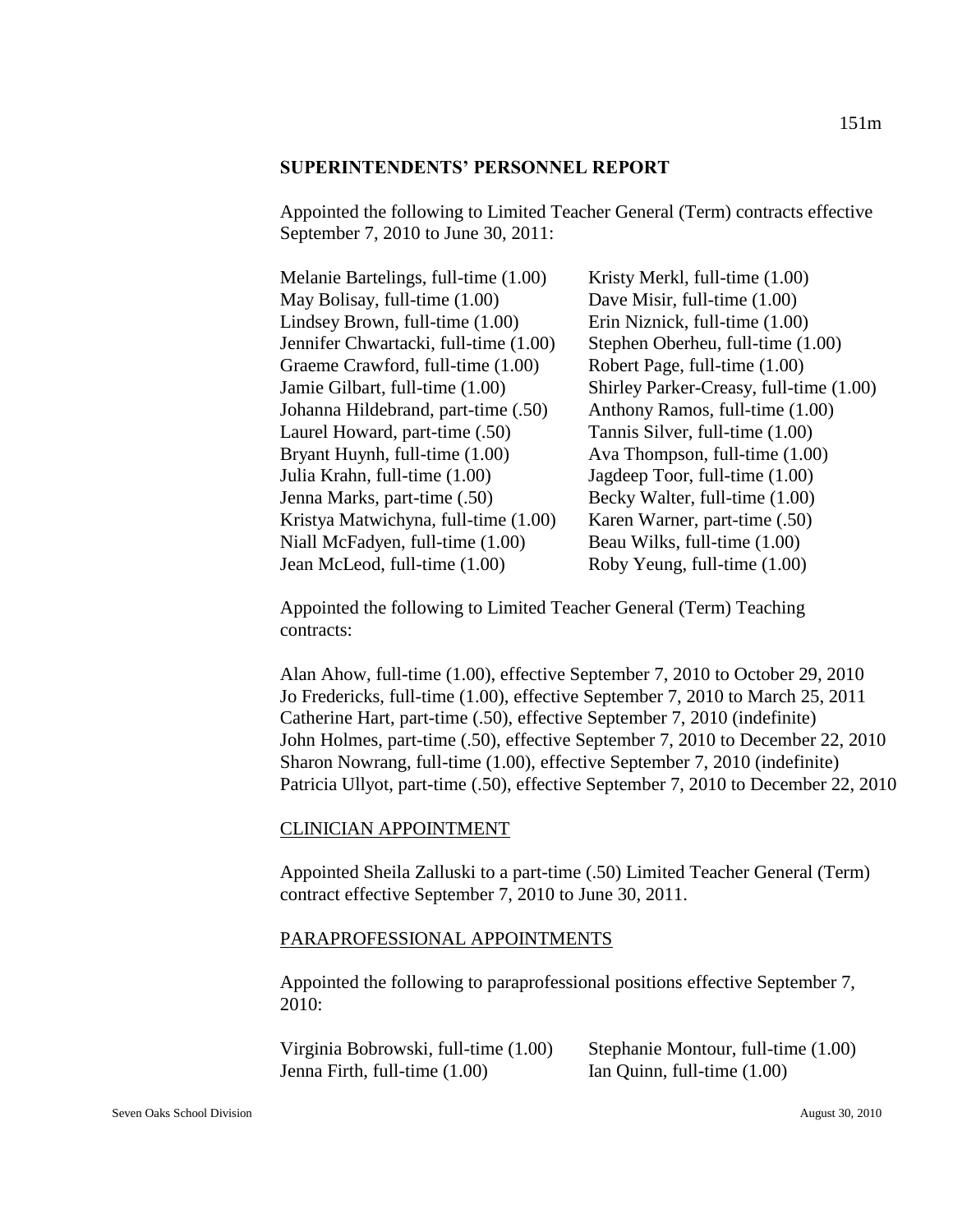Appointed the following to Limited Teacher General (Term) contracts effective September 7, 2010 to June 30, 2011:

| Melanie Bartelings, full-time (1.00)  | Kristy Merkl, full-time (1.00)          |
|---------------------------------------|-----------------------------------------|
| May Bolisay, full-time (1.00)         | Dave Misir, full-time (1.00)            |
| Lindsey Brown, full-time (1.00)       | Erin Niznick, full-time (1.00)          |
| Jennifer Chwartacki, full-time (1.00) | Stephen Oberheu, full-time (1.00)       |
| Graeme Crawford, full-time (1.00)     | Robert Page, full-time (1.00)           |
| Jamie Gilbart, full-time (1.00)       | Shirley Parker-Creasy, full-time (1.00) |
| Johanna Hildebrand, part-time (.50)   | Anthony Ramos, full-time (1.00)         |
| Laurel Howard, part-time (.50)        | Tannis Silver, full-time (1.00)         |
| Bryant Huynh, full-time (1.00)        | Ava Thompson, full-time (1.00)          |
| Julia Krahn, full-time (1.00)         | Jagdeep Toor, full-time (1.00)          |
| Jenna Marks, part-time (.50)          | Becky Walter, full-time (1.00)          |
| Kristya Matwichyna, full-time (1.00)  | Karen Warner, part-time (.50)           |
| Niall McFadyen, full-time (1.00)      | Beau Wilks, full-time (1.00)            |
| Jean McLeod, full-time (1.00)         | Roby Yeung, full-time (1.00)            |
|                                       |                                         |

Appointed the following to Limited Teacher General (Term) Teaching contracts:

Alan Ahow, full-time (1.00), effective September 7, 2010 to October 29, 2010 Jo Fredericks, full-time (1.00), effective September 7, 2010 to March 25, 2011 Catherine Hart, part-time (.50), effective September 7, 2010 (indefinite) John Holmes, part-time (.50), effective September 7, 2010 to December 22, 2010 Sharon Nowrang, full-time (1.00), effective September 7, 2010 (indefinite) Patricia Ullyot, part-time (.50), effective September 7, 2010 to December 22, 2010

#### CLINICIAN APPOINTMENT

Appointed Sheila Zalluski to a part-time (.50) Limited Teacher General (Term) contract effective September 7, 2010 to June 30, 2011.

#### PARAPROFESSIONAL APPOINTMENTS

Appointed the following to paraprofessional positions effective September 7, 2010:

| Virginia Bobrowski, full-time (1.00) | Stephanie Montour, full-time (1.00) |
|--------------------------------------|-------------------------------------|
| Jenna Firth, full-time (1.00)        | Ian Quinn, full-time $(1.00)$       |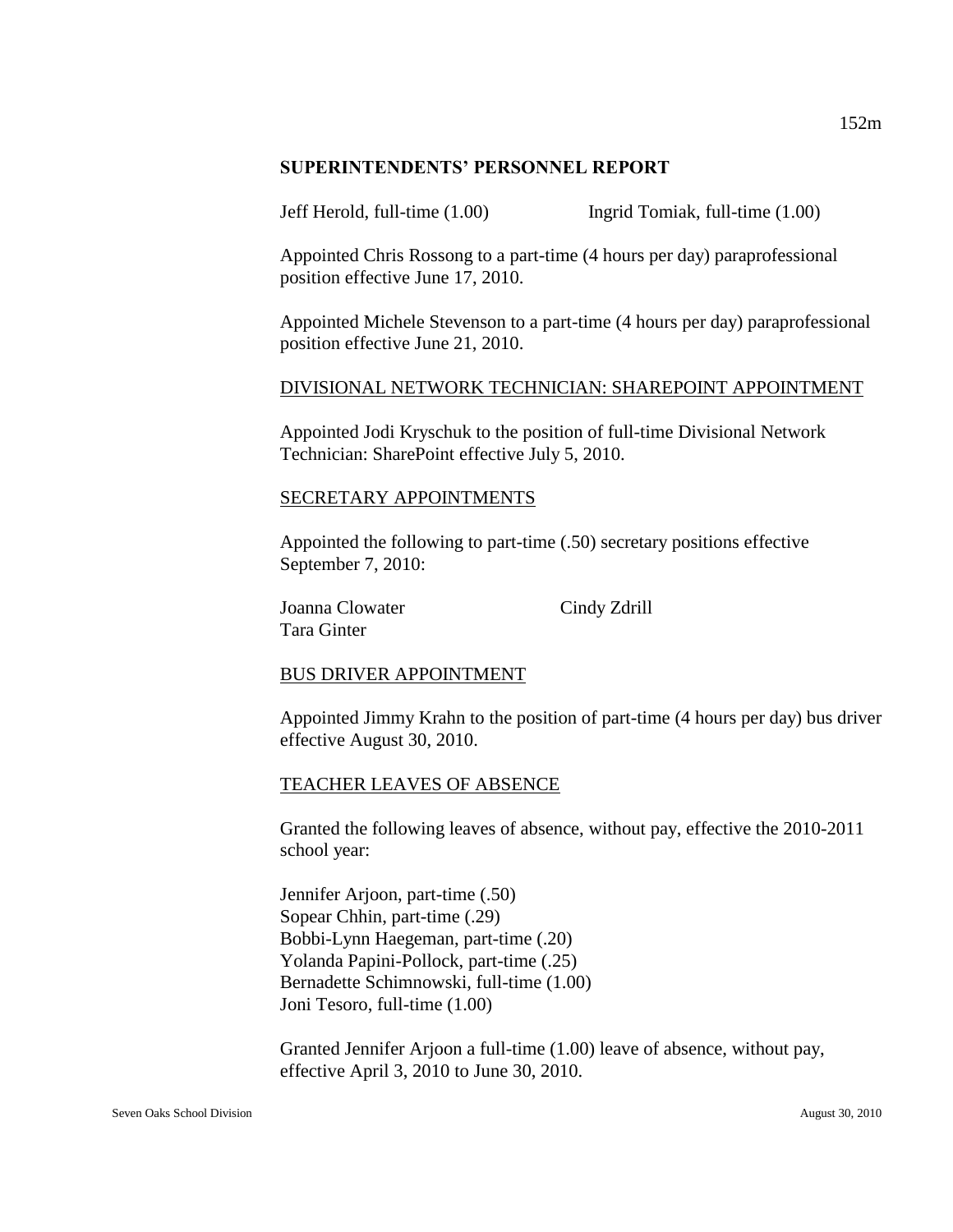Jeff Herold, full-time (1.00) Ingrid Tomiak, full-time (1.00)

Appointed Chris Rossong to a part-time (4 hours per day) paraprofessional position effective June 17, 2010.

Appointed Michele Stevenson to a part-time (4 hours per day) paraprofessional position effective June 21, 2010.

## DIVISIONAL NETWORK TECHNICIAN: SHAREPOINT APPOINTMENT

Appointed Jodi Kryschuk to the position of full-time Divisional Network Technician: SharePoint effective July 5, 2010.

## SECRETARY APPOINTMENTS

Appointed the following to part-time (.50) secretary positions effective September 7, 2010:

Joanna Clowater Cindy Zdrill Tara Ginter

## BUS DRIVER APPOINTMENT

Appointed Jimmy Krahn to the position of part-time (4 hours per day) bus driver effective August 30, 2010.

## TEACHER LEAVES OF ABSENCE

Granted the following leaves of absence, without pay, effective the 2010-2011 school year:

Jennifer Arjoon, part-time (.50) Sopear Chhin, part-time (.29) Bobbi-Lynn Haegeman, part-time (.20) Yolanda Papini-Pollock, part-time (.25) Bernadette Schimnowski, full-time (1.00) Joni Tesoro, full-time (1.00)

Granted Jennifer Arjoon a full-time (1.00) leave of absence, without pay, effective April 3, 2010 to June 30, 2010.

152m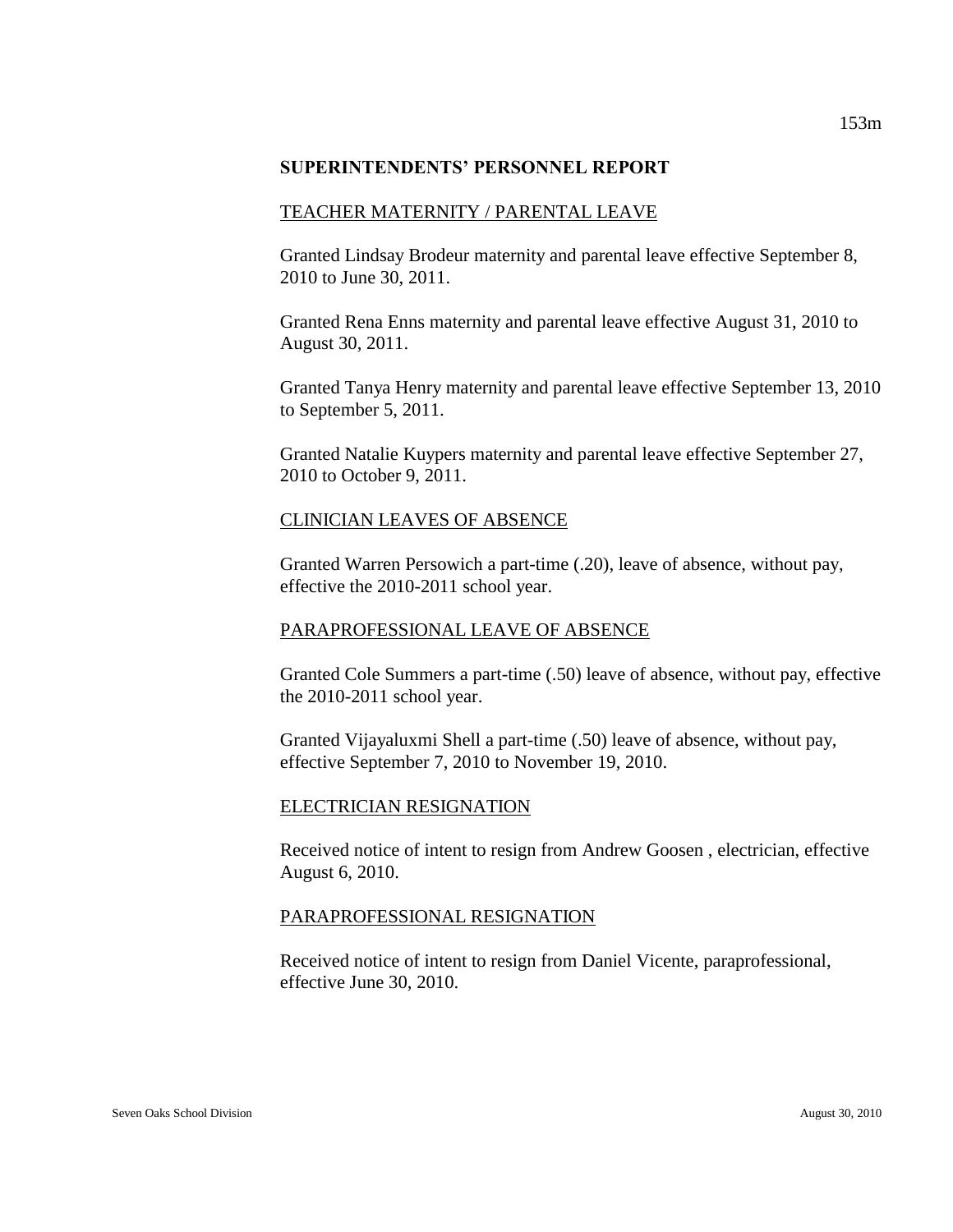## TEACHER MATERNITY / PARENTAL LEAVE

Granted Lindsay Brodeur maternity and parental leave effective September 8, 2010 to June 30, 2011.

Granted Rena Enns maternity and parental leave effective August 31, 2010 to August 30, 2011.

Granted Tanya Henry maternity and parental leave effective September 13, 2010 to September 5, 2011.

Granted Natalie Kuypers maternity and parental leave effective September 27, 2010 to October 9, 2011.

## CLINICIAN LEAVES OF ABSENCE

Granted Warren Persowich a part-time (.20), leave of absence, without pay, effective the 2010-2011 school year.

## PARAPROFESSIONAL LEAVE OF ABSENCE

Granted Cole Summers a part-time (.50) leave of absence, without pay, effective the 2010-2011 school year.

Granted Vijayaluxmi Shell a part-time (.50) leave of absence, without pay, effective September 7, 2010 to November 19, 2010.

#### ELECTRICIAN RESIGNATION

Received notice of intent to resign from Andrew Goosen , electrician, effective August 6, 2010.

#### PARAPROFESSIONAL RESIGNATION

Received notice of intent to resign from Daniel Vicente, paraprofessional, effective June 30, 2010.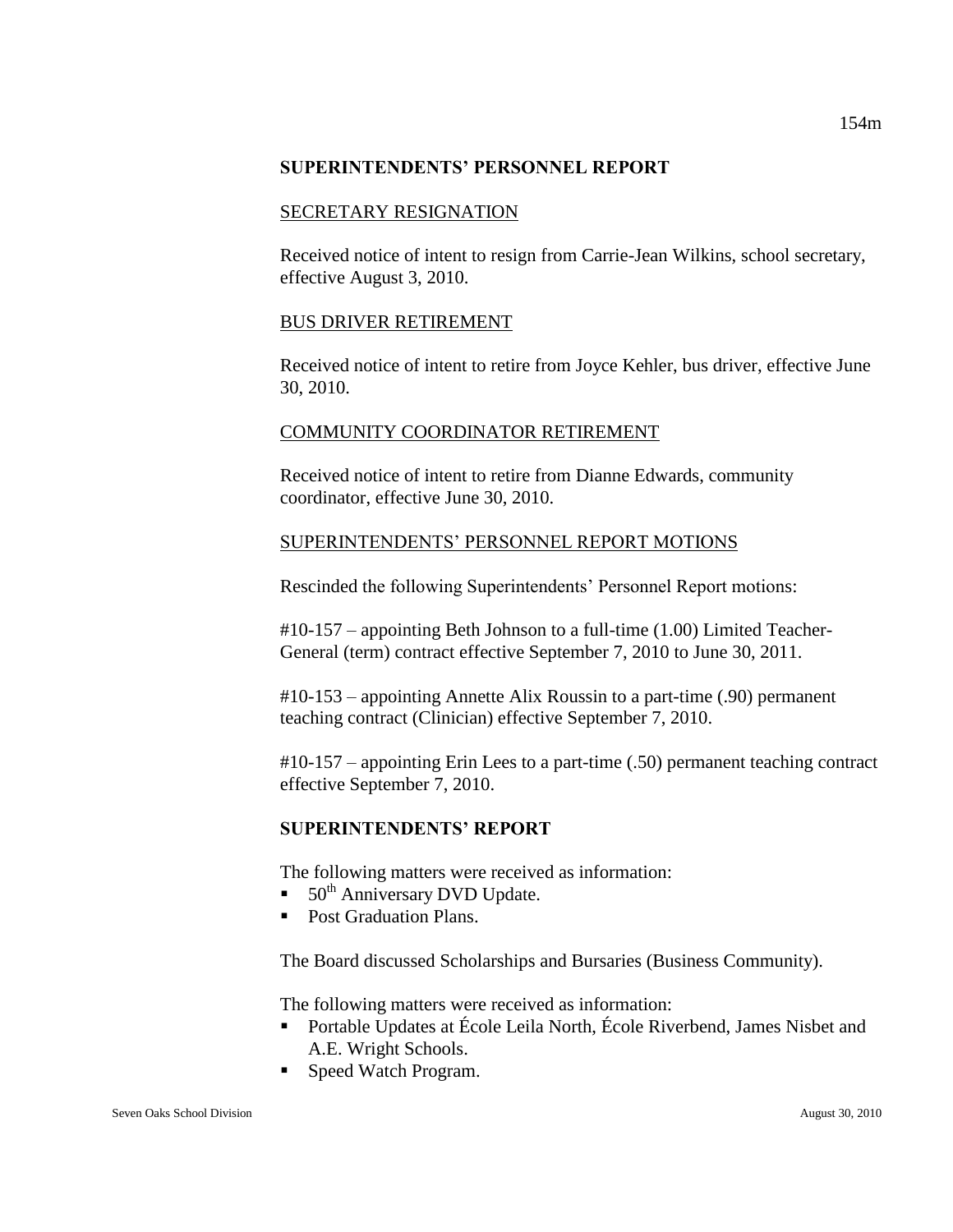### SECRETARY RESIGNATION

Received notice of intent to resign from Carrie-Jean Wilkins, school secretary, effective August 3, 2010.

## BUS DRIVER RETIREMENT

Received notice of intent to retire from Joyce Kehler, bus driver, effective June 30, 2010.

## COMMUNITY COORDINATOR RETIREMENT

Received notice of intent to retire from Dianne Edwards, community coordinator, effective June 30, 2010.

## SUPERINTENDENTS' PERSONNEL REPORT MOTIONS

Rescinded the following Superintendents' Personnel Report motions:

#10-157 – appointing Beth Johnson to a full-time (1.00) Limited Teacher-General (term) contract effective September 7, 2010 to June 30, 2011.

#10-153 – appointing Annette Alix Roussin to a part-time (.90) permanent teaching contract (Clinician) effective September 7, 2010.

#10-157 – appointing Erin Lees to a part-time (.50) permanent teaching contract effective September 7, 2010.

## **SUPERINTENDENTS' REPORT**

The following matters were received as information:

- $\blacksquare$  50<sup>th</sup> Anniversary DVD Update.
- Post Graduation Plans.

The Board discussed Scholarships and Bursaries (Business Community).

The following matters were received as information:

- Portable Updates at École Leila North, École Riverbend, James Nisbet and A.E. Wright Schools.
- Speed Watch Program.

154m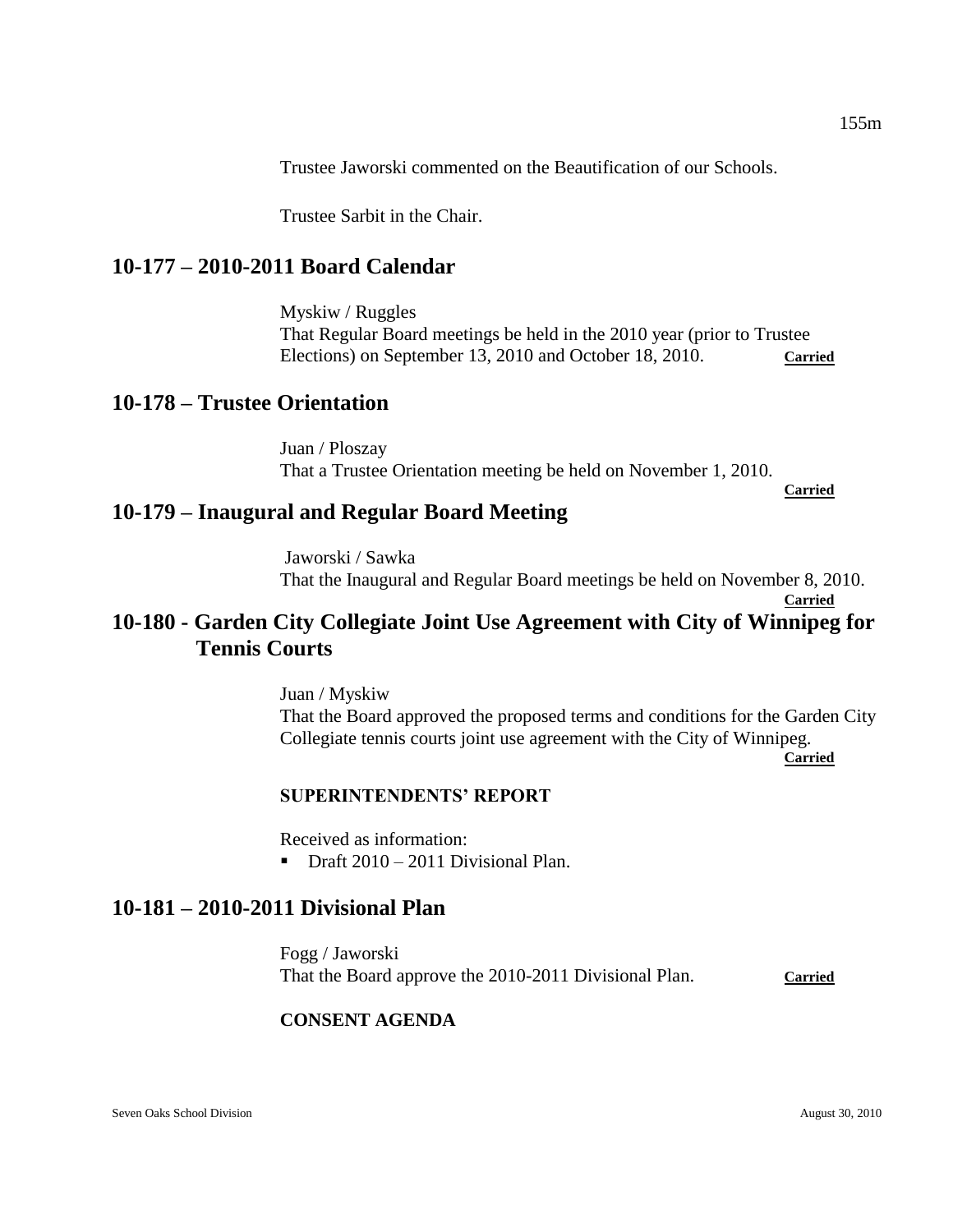Trustee Jaworski commented on the Beautification of our Schools.

Trustee Sarbit in the Chair.

# **10-177 – 2010-2011 Board Calendar**

Myskiw / Ruggles That Regular Board meetings be held in the 2010 year (prior to Trustee Elections) on September 13, 2010 and October 18, 2010. **Carried**

## **10-178 – Trustee Orientation**

Juan / Ploszay That a Trustee Orientation meeting be held on November 1, 2010.

**Carried**

**Carried**

## **10-179 – Inaugural and Regular Board Meeting**

Jaworski / Sawka That the Inaugural and Regular Board meetings be held on November 8, 2010.

# **10-180 - Garden City Collegiate Joint Use Agreement with City of Winnipeg for Tennis Courts**

Juan / Myskiw That the Board approved the proposed terms and conditions for the Garden City Collegiate tennis courts joint use agreement with the City of Winnipeg. **Carried**

## **SUPERINTENDENTS' REPORT**

Received as information:

 $\blacksquare$  Draft 2010 – 2011 Divisional Plan.

## **10-181 – 2010-2011 Divisional Plan**

Fogg / Jaworski That the Board approve the 2010-2011 Divisional Plan. **Carried**

## **CONSENT AGENDA**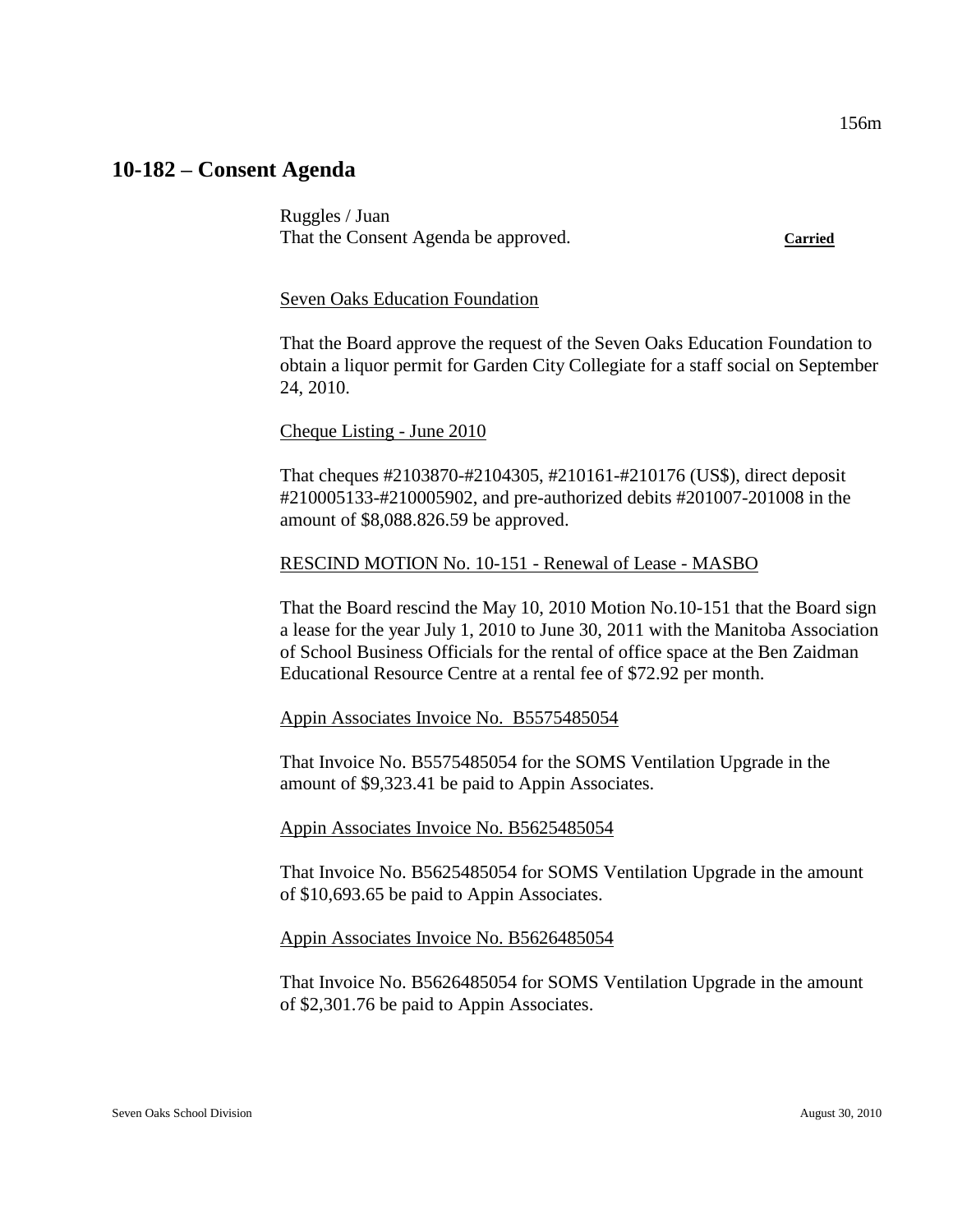## **10-182 – Consent Agenda**

Ruggles / Juan That the Consent Agenda be approved. **Carried**

#### Seven Oaks Education Foundation

That the Board approve the request of the Seven Oaks Education Foundation to obtain a liquor permit for Garden City Collegiate for a staff social on September 24, 2010.

#### Cheque Listing - June 2010

That cheques #2103870-#2104305, #210161-#210176 (US\$), direct deposit #210005133-#210005902, and pre-authorized debits #201007-201008 in the amount of \$8,088.826.59 be approved.

#### RESCIND MOTION No. 10-151 - Renewal of Lease - MASBO

That the Board rescind the May 10, 2010 Motion No.10-151 that the Board sign a lease for the year July 1, 2010 to June 30, 2011 with the Manitoba Association of School Business Officials for the rental of office space at the Ben Zaidman Educational Resource Centre at a rental fee of \$72.92 per month.

#### Appin Associates Invoice No. B5575485054

That Invoice No. B5575485054 for the SOMS Ventilation Upgrade in the amount of \$9,323.41 be paid to Appin Associates.

#### Appin Associates Invoice No. B5625485054

That Invoice No. B5625485054 for SOMS Ventilation Upgrade in the amount of \$10,693.65 be paid to Appin Associates.

#### Appin Associates Invoice No. B5626485054

That Invoice No. B5626485054 for SOMS Ventilation Upgrade in the amount of \$2,301.76 be paid to Appin Associates.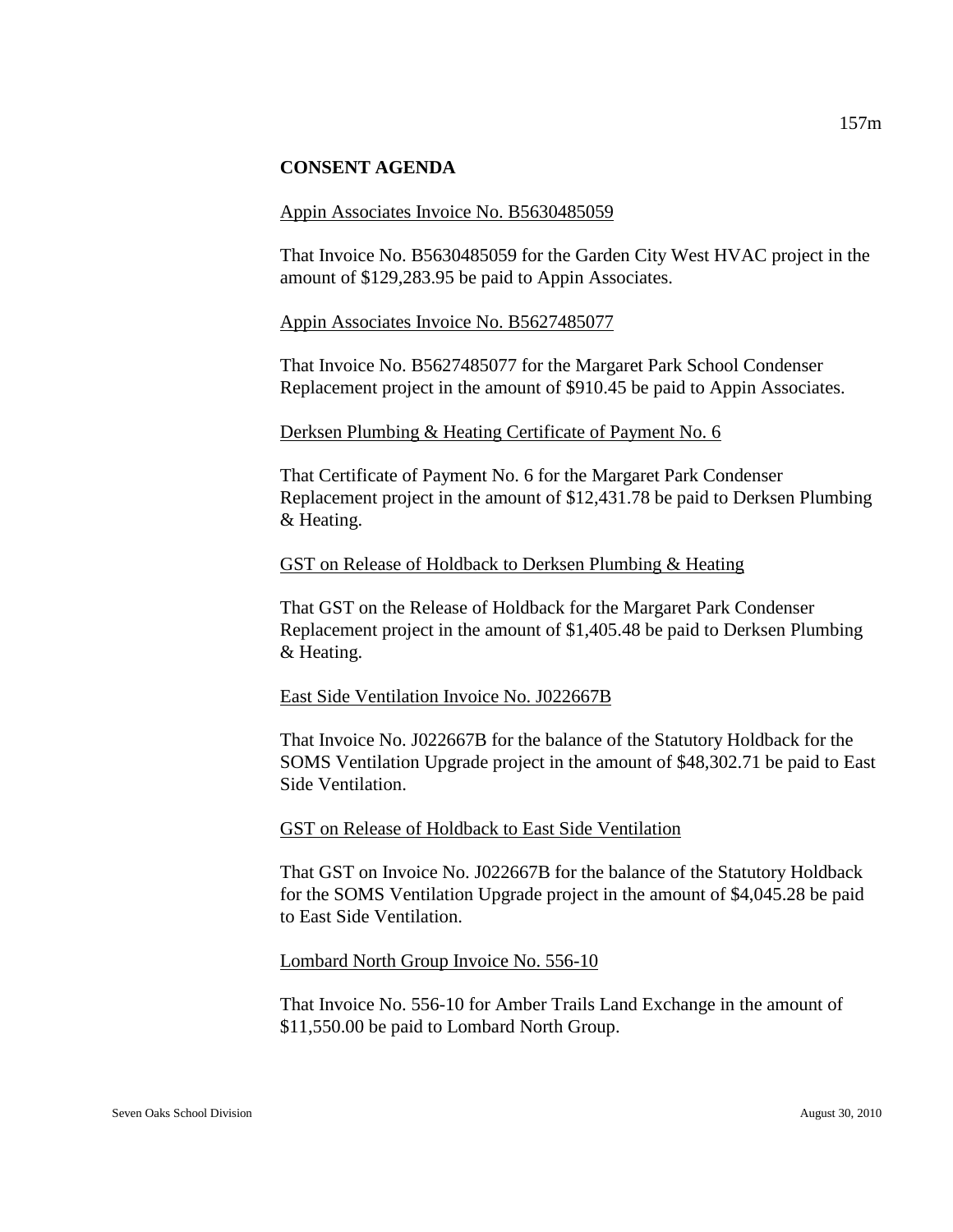## **CONSENT AGENDA**

#### Appin Associates Invoice No. B5630485059

That Invoice No. B5630485059 for the Garden City West HVAC project in the amount of \$129,283.95 be paid to Appin Associates.

#### Appin Associates Invoice No. B5627485077

That Invoice No. B5627485077 for the Margaret Park School Condenser Replacement project in the amount of \$910.45 be paid to Appin Associates.

#### Derksen Plumbing & Heating Certificate of Payment No. 6

That Certificate of Payment No. 6 for the Margaret Park Condenser Replacement project in the amount of \$12,431.78 be paid to Derksen Plumbing & Heating.

#### GST on Release of Holdback to Derksen Plumbing & Heating

That GST on the Release of Holdback for the Margaret Park Condenser Replacement project in the amount of \$1,405.48 be paid to Derksen Plumbing & Heating.

#### East Side Ventilation Invoice No. J022667B

That Invoice No. J022667B for the balance of the Statutory Holdback for the SOMS Ventilation Upgrade project in the amount of \$48,302.71 be paid to East Side Ventilation.

#### GST on Release of Holdback to East Side Ventilation

That GST on Invoice No. J022667B for the balance of the Statutory Holdback for the SOMS Ventilation Upgrade project in the amount of \$4,045.28 be paid to East Side Ventilation.

#### Lombard North Group Invoice No. 556-10

That Invoice No. 556-10 for Amber Trails Land Exchange in the amount of \$11,550.00 be paid to Lombard North Group.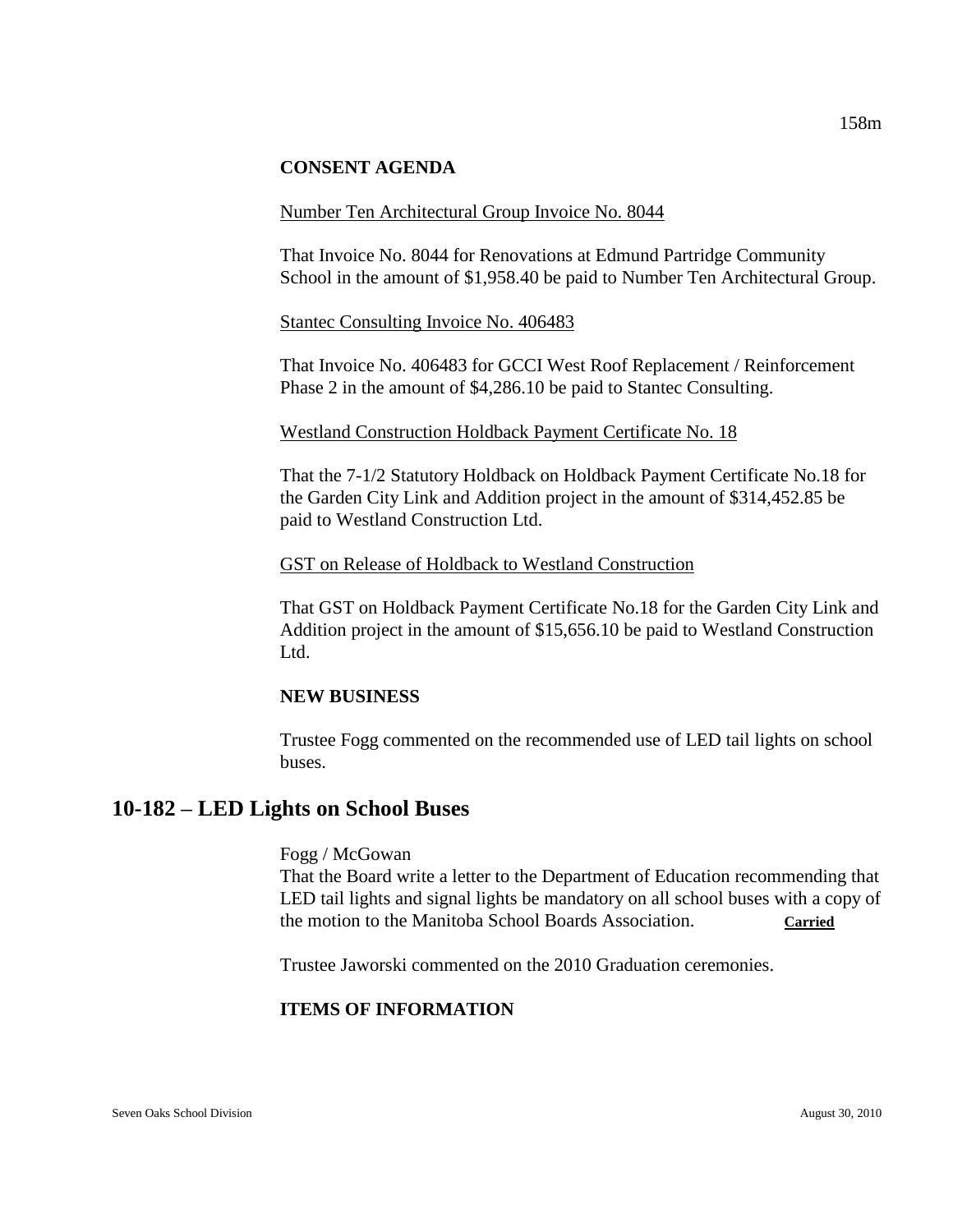## **CONSENT AGENDA**

#### Number Ten Architectural Group Invoice No. 8044

That Invoice No. 8044 for Renovations at Edmund Partridge Community School in the amount of \$1,958.40 be paid to Number Ten Architectural Group.

#### Stantec Consulting Invoice No. 406483

That Invoice No. 406483 for GCCI West Roof Replacement / Reinforcement Phase 2 in the amount of \$4,286.10 be paid to Stantec Consulting.

#### Westland Construction Holdback Payment Certificate No. 18

That the 7-1/2 Statutory Holdback on Holdback Payment Certificate No.18 for the Garden City Link and Addition project in the amount of \$314,452.85 be paid to Westland Construction Ltd.

#### GST on Release of Holdback to Westland Construction

That GST on Holdback Payment Certificate No.18 for the Garden City Link and Addition project in the amount of \$15,656.10 be paid to Westland Construction Ltd.

#### **NEW BUSINESS**

Trustee Fogg commented on the recommended use of LED tail lights on school buses.

## **10-182 – LED Lights on School Buses**

Fogg / McGowan

That the Board write a letter to the Department of Education recommending that LED tail lights and signal lights be mandatory on all school buses with a copy of the motion to the Manitoba School Boards Association. **Carried**

Trustee Jaworski commented on the 2010 Graduation ceremonies.

#### **ITEMS OF INFORMATION**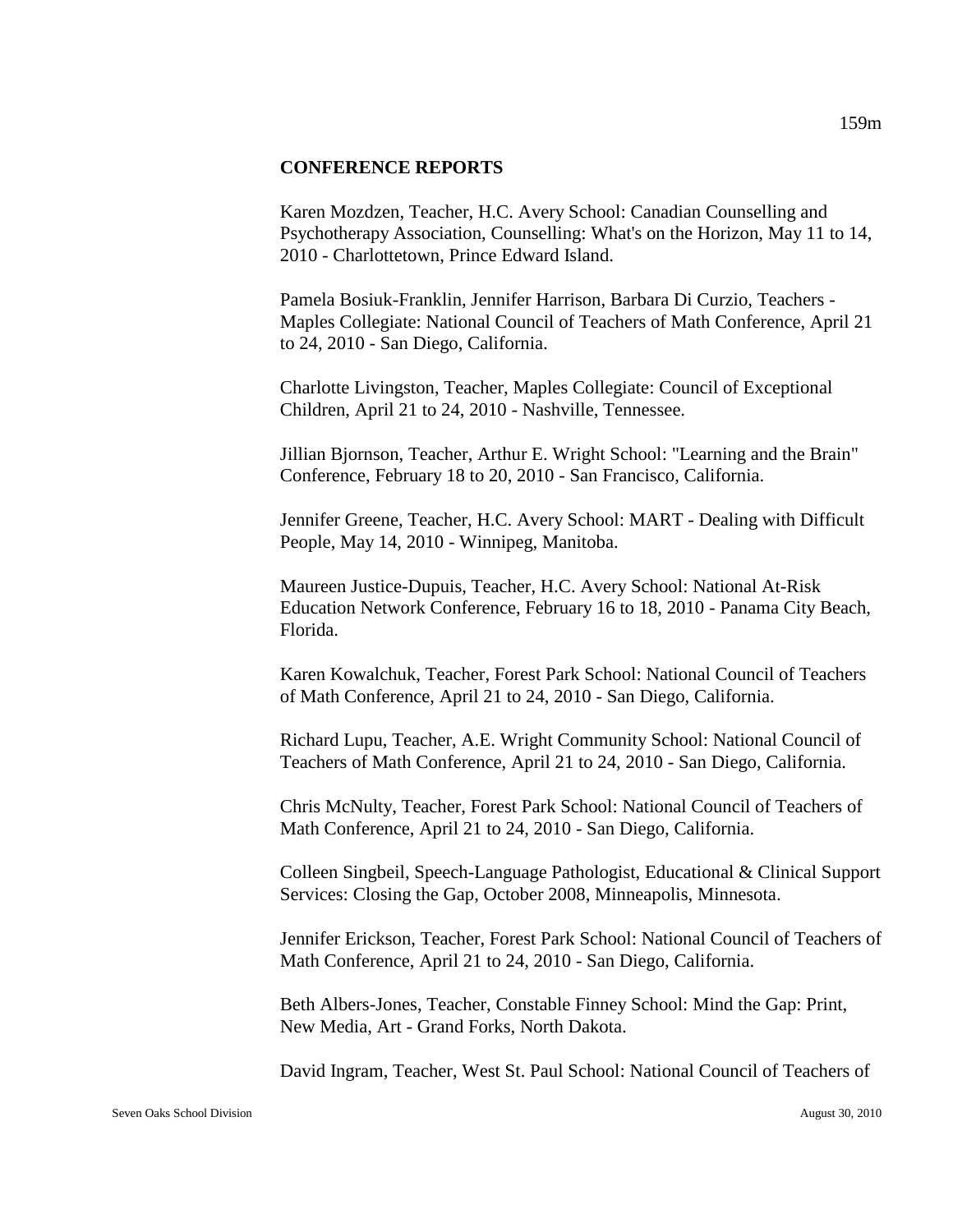#### **CONFERENCE REPORTS**

Karen Mozdzen, Teacher, H.C. Avery School: Canadian Counselling and Psychotherapy Association, Counselling: What's on the Horizon, May 11 to 14, 2010 - Charlottetown, Prince Edward Island.

Pamela Bosiuk-Franklin, Jennifer Harrison, Barbara Di Curzio, Teachers - Maples Collegiate: National Council of Teachers of Math Conference, April 21 to 24, 2010 - San Diego, California.

Charlotte Livingston, Teacher, Maples Collegiate: Council of Exceptional Children, April 21 to 24, 2010 - Nashville, Tennessee.

Jillian Bjornson, Teacher, Arthur E. Wright School: "Learning and the Brain" Conference, February 18 to 20, 2010 - San Francisco, California.

Jennifer Greene, Teacher, H.C. Avery School: MART - Dealing with Difficult People, May 14, 2010 - Winnipeg, Manitoba.

Maureen Justice-Dupuis, Teacher, H.C. Avery School: National At-Risk Education Network Conference, February 16 to 18, 2010 - Panama City Beach, Florida.

Karen Kowalchuk, Teacher, Forest Park School: National Council of Teachers of Math Conference, April 21 to 24, 2010 - San Diego, California.

Richard Lupu, Teacher, A.E. Wright Community School: National Council of Teachers of Math Conference, April 21 to 24, 2010 - San Diego, California.

Chris McNulty, Teacher, Forest Park School: National Council of Teachers of Math Conference, April 21 to 24, 2010 - San Diego, California.

Colleen Singbeil, Speech-Language Pathologist, Educational & Clinical Support Services: Closing the Gap, October 2008, Minneapolis, Minnesota.

Jennifer Erickson, Teacher, Forest Park School: National Council of Teachers of Math Conference, April 21 to 24, 2010 - San Diego, California.

Beth Albers-Jones, Teacher, Constable Finney School: Mind the Gap: Print, New Media, Art - Grand Forks, North Dakota.

David Ingram, Teacher, West St. Paul School: National Council of Teachers of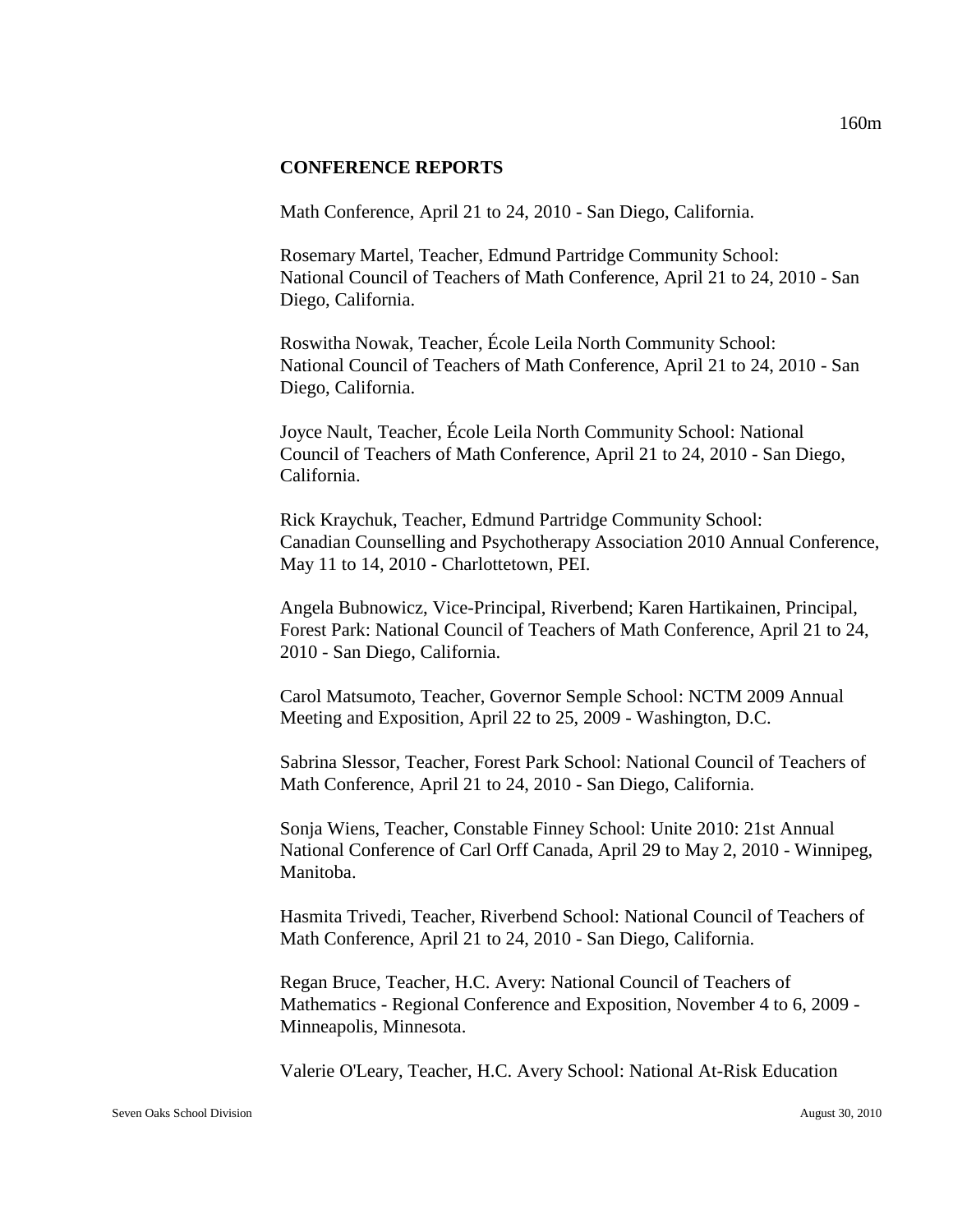#### **CONFERENCE REPORTS**

Math Conference, April 21 to 24, 2010 - San Diego, California.

Rosemary Martel, Teacher, Edmund Partridge Community School: National Council of Teachers of Math Conference, April 21 to 24, 2010 - San Diego, California.

Roswitha Nowak, Teacher, École Leila North Community School: National Council of Teachers of Math Conference, April 21 to 24, 2010 - San Diego, California.

Joyce Nault, Teacher, École Leila North Community School: National Council of Teachers of Math Conference, April 21 to 24, 2010 - San Diego, California.

Rick Kraychuk, Teacher, Edmund Partridge Community School: Canadian Counselling and Psychotherapy Association 2010 Annual Conference, May 11 to 14, 2010 - Charlottetown, PEI.

Angela Bubnowicz, Vice-Principal, Riverbend; Karen Hartikainen, Principal, Forest Park: National Council of Teachers of Math Conference, April 21 to 24, 2010 - San Diego, California.

Carol Matsumoto, Teacher, Governor Semple School: NCTM 2009 Annual Meeting and Exposition, April 22 to 25, 2009 - Washington, D.C.

Sabrina Slessor, Teacher, Forest Park School: National Council of Teachers of Math Conference, April 21 to 24, 2010 - San Diego, California.

Sonja Wiens, Teacher, Constable Finney School: Unite 2010: 21st Annual National Conference of Carl Orff Canada, April 29 to May 2, 2010 - Winnipeg, Manitoba.

Hasmita Trivedi, Teacher, Riverbend School: National Council of Teachers of Math Conference, April 21 to 24, 2010 - San Diego, California.

Regan Bruce, Teacher, H.C. Avery: National Council of Teachers of Mathematics - Regional Conference and Exposition, November 4 to 6, 2009 - Minneapolis, Minnesota.

Valerie O'Leary, Teacher, H.C. Avery School: National At-Risk Education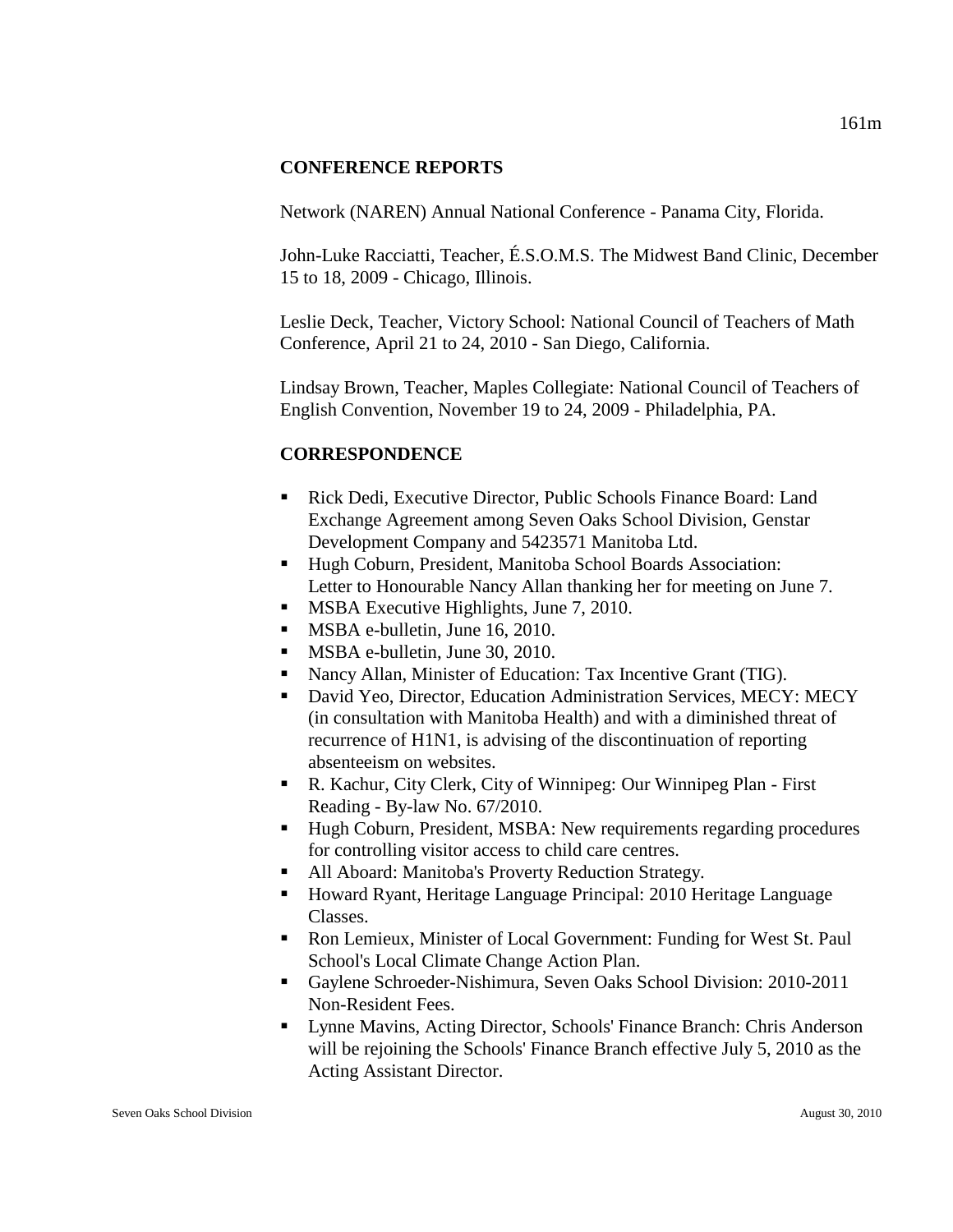## **CONFERENCE REPORTS**

Network (NAREN) Annual National Conference - Panama City, Florida.

John-Luke Racciatti, Teacher, É.S.O.M.S. The Midwest Band Clinic, December 15 to 18, 2009 - Chicago, Illinois.

Leslie Deck, Teacher, Victory School: National Council of Teachers of Math Conference, April 21 to 24, 2010 - San Diego, California.

Lindsay Brown, Teacher, Maples Collegiate: National Council of Teachers of English Convention, November 19 to 24, 2009 - Philadelphia, PA.

## **CORRESPONDENCE**

- Rick Dedi, Executive Director, Public Schools Finance Board: Land Exchange Agreement among Seven Oaks School Division, Genstar Development Company and 5423571 Manitoba Ltd.
- Hugh Coburn, President, Manitoba School Boards Association: Letter to Honourable Nancy Allan thanking her for meeting on June 7.
- **MSBA Executive Highlights, June 7, 2010.**
- **MSBA e-bulletin, June 16, 2010.**
- **MSBA e-bulletin, June 30, 2010.**
- Nancy Allan, Minister of Education: Tax Incentive Grant (TIG).
- David Yeo, Director, Education Administration Services, MECY: MECY (in consultation with Manitoba Health) and with a diminished threat of recurrence of H1N1, is advising of the discontinuation of reporting absenteeism on websites.
- R. Kachur, City Clerk, City of Winnipeg: Our Winnipeg Plan First Reading - By-law No. 67/2010.
- Hugh Coburn, President, MSBA: New requirements regarding procedures for controlling visitor access to child care centres.
- All Aboard: Manitoba's Proverty Reduction Strategy.
- Howard Ryant, Heritage Language Principal: 2010 Heritage Language Classes.
- Ron Lemieux, Minister of Local Government: Funding for West St. Paul School's Local Climate Change Action Plan.
- Gaylene Schroeder-Nishimura, Seven Oaks School Division: 2010-2011 Non-Resident Fees.
- Lynne Mavins, Acting Director, Schools' Finance Branch: Chris Anderson will be rejoining the Schools' Finance Branch effective July 5, 2010 as the Acting Assistant Director.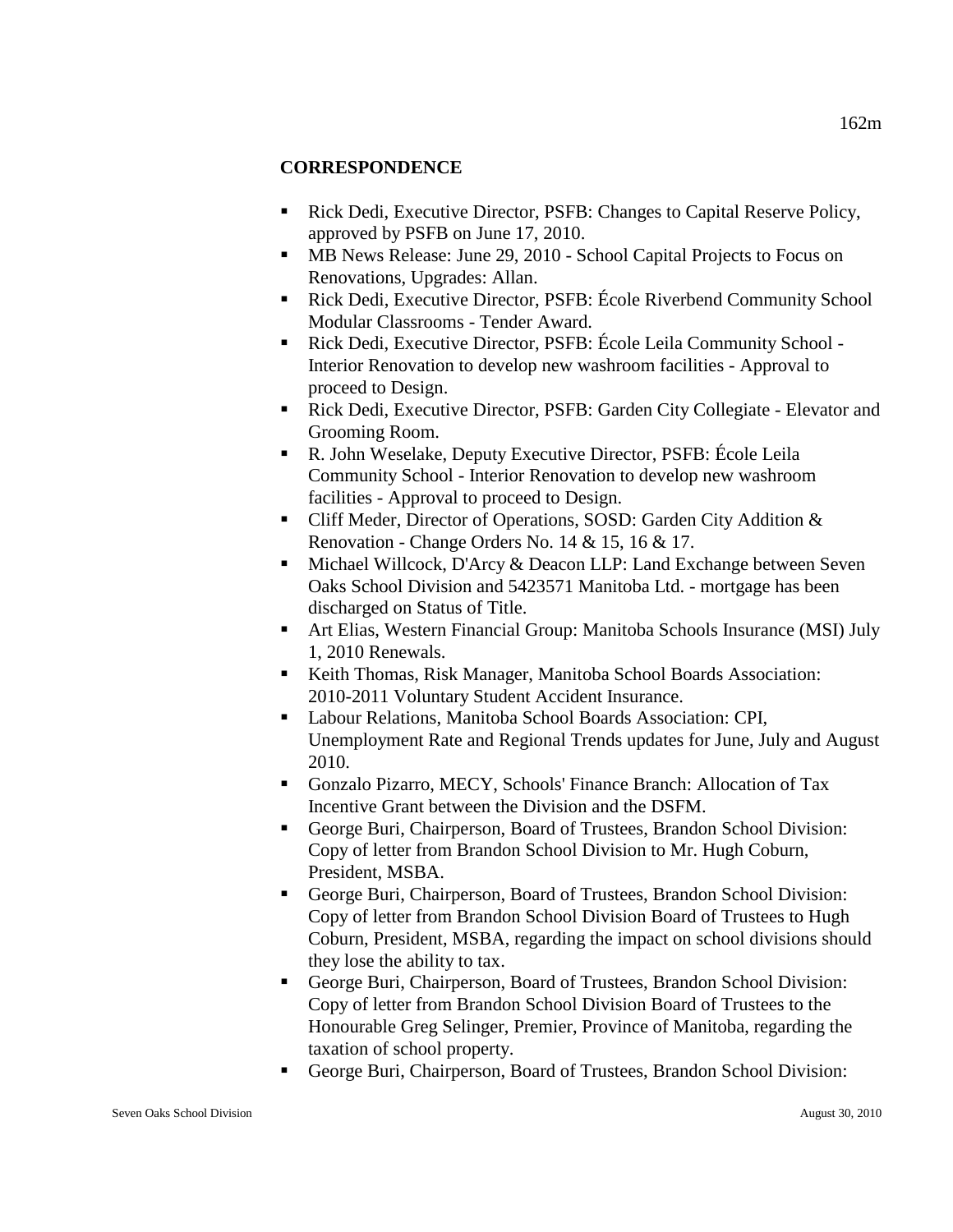## **CORRESPONDENCE**

- Rick Dedi, Executive Director, PSFB: Changes to Capital Reserve Policy, approved by PSFB on June 17, 2010.
- **MB News Release: June 29, 2010 School Capital Projects to Focus on** Renovations, Upgrades: Allan.
- Rick Dedi, Executive Director, PSFB: École Riverbend Community School Modular Classrooms - Tender Award.
- Rick Dedi, Executive Director, PSFB: École Leila Community School Interior Renovation to develop new washroom facilities - Approval to proceed to Design.
- Rick Dedi, Executive Director, PSFB: Garden City Collegiate Elevator and Grooming Room.
- R. John Weselake, Deputy Executive Director, PSFB: École Leila Community School - Interior Renovation to develop new washroom facilities - Approval to proceed to Design.
- Cliff Meder, Director of Operations, SOSD: Garden City Addition & Renovation - Change Orders No. 14 & 15, 16 & 17.
- Michael Willcock, D'Arcy & Deacon LLP: Land Exchange between Seven Oaks School Division and 5423571 Manitoba Ltd. - mortgage has been discharged on Status of Title.
- Art Elias, Western Financial Group: Manitoba Schools Insurance (MSI) July 1, 2010 Renewals.
- Keith Thomas, Risk Manager, Manitoba School Boards Association: 2010-2011 Voluntary Student Accident Insurance.
- Labour Relations, Manitoba School Boards Association: CPI, Unemployment Rate and Regional Trends updates for June, July and August 2010.
- Gonzalo Pizarro, MECY, Schools' Finance Branch: Allocation of Tax Incentive Grant between the Division and the DSFM.
- George Buri, Chairperson, Board of Trustees, Brandon School Division: Copy of letter from Brandon School Division to Mr. Hugh Coburn, President, MSBA.
- George Buri, Chairperson, Board of Trustees, Brandon School Division: Copy of letter from Brandon School Division Board of Trustees to Hugh Coburn, President, MSBA, regarding the impact on school divisions should they lose the ability to tax.
- George Buri, Chairperson, Board of Trustees, Brandon School Division: Copy of letter from Brandon School Division Board of Trustees to the Honourable Greg Selinger, Premier, Province of Manitoba, regarding the taxation of school property.
- George Buri, Chairperson, Board of Trustees, Brandon School Division: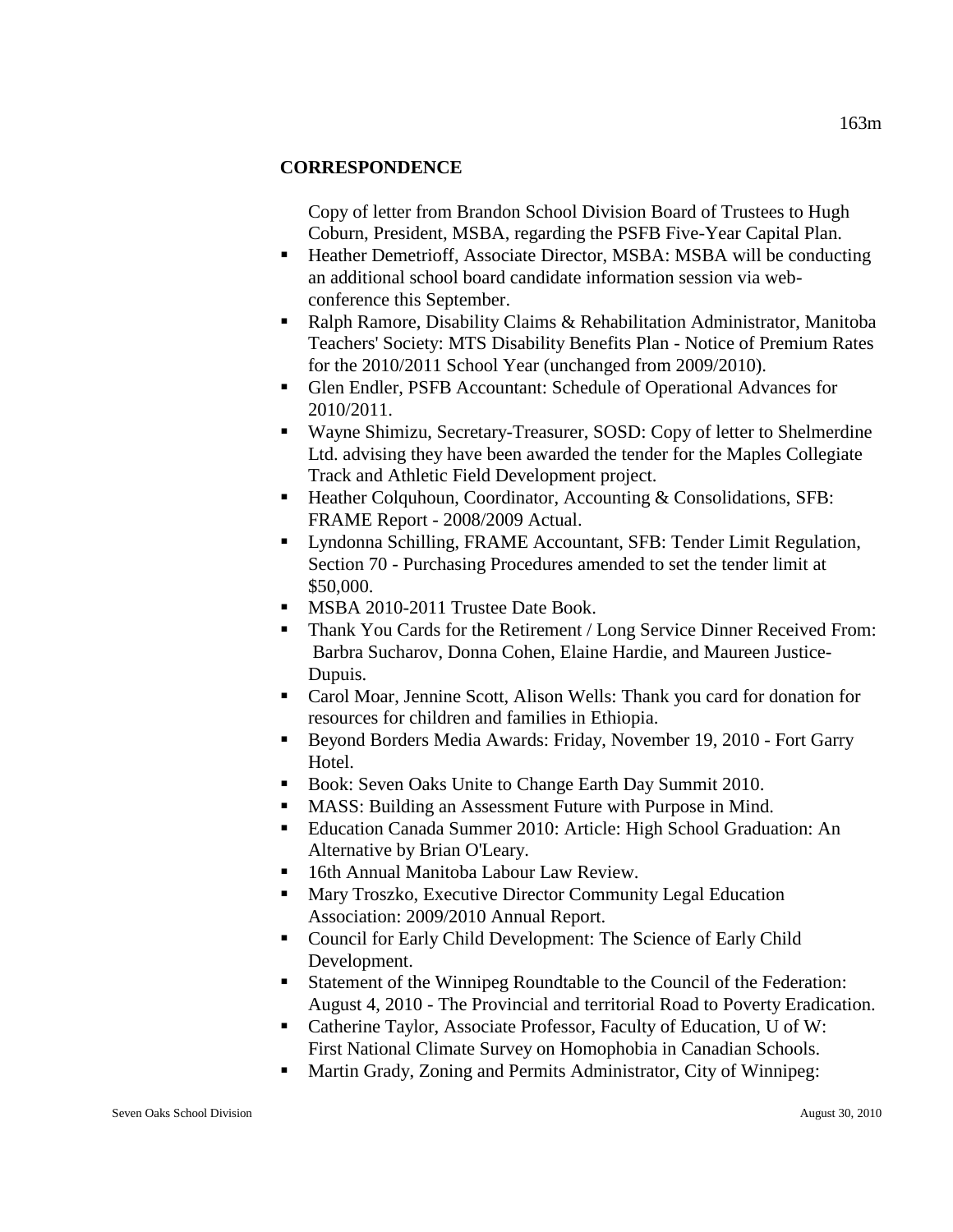## **CORRESPONDENCE**

Copy of letter from Brandon School Division Board of Trustees to Hugh Coburn, President, MSBA, regarding the PSFB Five-Year Capital Plan.

- Heather Demetrioff, Associate Director, MSBA: MSBA will be conducting an additional school board candidate information session via webconference this September.
- Ralph Ramore, Disability Claims & Rehabilitation Administrator, Manitoba Teachers' Society: MTS Disability Benefits Plan - Notice of Premium Rates for the 2010/2011 School Year (unchanged from 2009/2010).
- Glen Endler, PSFB Accountant: Schedule of Operational Advances for 2010/2011.
- Wayne Shimizu, Secretary-Treasurer, SOSD: Copy of letter to Shelmerdine Ltd. advising they have been awarded the tender for the Maples Collegiate Track and Athletic Field Development project.
- Heather Colquhoun, Coordinator, Accounting & Consolidations, SFB: FRAME Report - 2008/2009 Actual.
- Lyndonna Schilling, FRAME Accountant, SFB: Tender Limit Regulation, Section 70 - Purchasing Procedures amended to set the tender limit at \$50,000.
- **MSBA 2010-2011 Trustee Date Book.**
- Thank You Cards for the Retirement / Long Service Dinner Received From: Barbra Sucharov, Donna Cohen, Elaine Hardie, and Maureen Justice-Dupuis.
- Carol Moar, Jennine Scott, Alison Wells: Thank you card for donation for resources for children and families in Ethiopia.
- Beyond Borders Media Awards: Friday, November 19, 2010 Fort Garry Hotel.
- Book: Seven Oaks Unite to Change Earth Day Summit 2010.
- MASS: Building an Assessment Future with Purpose in Mind.
- Education Canada Summer 2010: Article: High School Graduation: An Alternative by Brian O'Leary.
- **16th Annual Manitoba Labour Law Review.**
- Mary Troszko, Executive Director Community Legal Education Association: 2009/2010 Annual Report.
- Council for Early Child Development: The Science of Early Child Development.
- Statement of the Winnipeg Roundtable to the Council of the Federation: August 4, 2010 - The Provincial and territorial Road to Poverty Eradication.
- Catherine Taylor, Associate Professor, Faculty of Education, U of W: First National Climate Survey on Homophobia in Canadian Schools.
- Martin Grady, Zoning and Permits Administrator, City of Winnipeg: